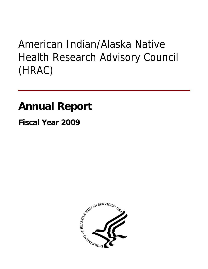# American Indian/Alaska Native Health Research Advisory Council (HRAC)

## **Annual Report**

**Fiscal Year 2009** 

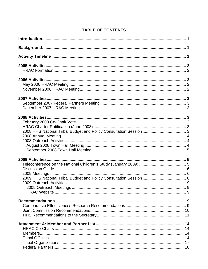## **TABLE OF CONTENTS**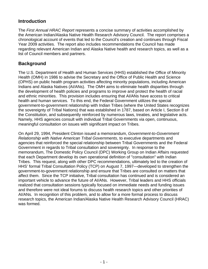## <span id="page-2-0"></span>**Introduction**

The *First Annual HRAC Report* represents a concise summary of activities accomplished by the American Indian/Alaska Native Health Research Advisory Council. The report comprises a chronological account of events that led to the Council's creation and continues through Fiscal Year 2009 activities. The report also includes recommendations the Council has made regarding relevant American Indian and Alaska Native health and research topics, as well as a list of Council members and partners.

## **Background**

The U.S. Department of Health and Human Services (HHS) established the Office of Minority Health (OMH) in 1986 to advise the Secretary and the Office of Public Health and Science (OPHS) on public health program activities affecting minority populations, including American Indians and Alaska Natives (AI/ANs). The OMH aims to eliminate health disparities through the development of health policies and programs to improve and protect the health of racial and ethnic minorities. This provision includes ensuring that AI/ANs have access to critical health and human services. To this end, the Federal Government utilizes the special government-to-government relationship with Indian Tribes (where the United States recognizes the sovereignty of Tribal Nations) that was established in 1787, based on Article I, Section 8 of the Constitution, and subsequently reinforced by numerous laws, treaties, and legislative acts. Namely, HHS agencies consult with individual Tribal Governments via open, continuous, meaningful consultation on issues with significant impact on Tribes.

On April 29, 1994, President Clinton issued a memorandum, *Government-to-Government Relationship with Native American Tribal Governments*, to executive departments and agencies that reinforced the special relationship between Tribal Governments and the Federal Government in regards to Tribal consultation and sovereignty. In response to the memorandum, The Domestic Policy Council (DPC) Working Group on Indian Affairs requested that each Department develop its own operational definition of "consultation" with Indian Tribes. This request, along with other DPC recommendations, ultimately led to the creation of HHS' formal Tribal Consultation Policy (TCP) on August 7, 1997—developed to strengthen the government-to-government relationship and ensure that Tribes are consulted on matters that affect them. Since the TCP initiative, Tribal consultation has continued and is considered an important vehicle to advance the future of AI/ANs. However, Tribal leaders and HHS officials realized that consultation sessions typically focused on immediate needs and funding issues and therefore were not ideal forums to discuss health research topics and other priorities of AI/ANs. In recognition of this problem, and to allow for a more formal process to discuss research topics, the American Indian/Alaska Native Health Research Advisory Council (HRAC) was formed.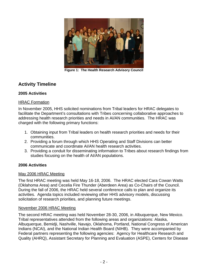<span id="page-3-0"></span>

**Figure 1: The Health Research Advisory Council** 

## **Activity Timeline**

#### **2005 Activities**

#### HRAC Formation

In November 2005, HHS solicited nominations from Tribal leaders for HRAC delegates to facilitate the Department's consultations with Tribes concerning collaborative approaches to addressing health research priorities and needs in AI/AN communities. The HRAC was charged with the following primary functions:

- 1. Obtaining input from Tribal leaders on health research priorities and needs for their communities.
- 2. Providing a forum through which HHS Operating and Staff Divisions can better communicate and coordinate AI/AN health research activities.
- 3. Providing a conduit for disseminating information to Tribes about research findings from studies focusing on the health of AI/AN populations.

#### **2006 Activities**

#### May 2006 HRAC Meeting

The first HRAC meeting was held May 16-18, 2006. The HRAC elected Cara Cowan Watts (Oklahoma Area) and Cecelia Fire Thunder (Aberdeen Area) as Co-Chairs of the Council. During the fall of 2006, the HRAC held several conference calls to plan and organize its activities. Agenda topics included reviewing other HHS advisory models, discussing solicitation of research priorities, and planning future meetings.

#### November 2006 HRAC Meeting

The second HRAC meeting was held November 28-30, 2006, in Albuquerque, New Mexico. Tribal representatives attended from the following areas and organizations: Alaska, Albuquerque, Bemidji, Nashville, Navajo, Oklahoma, Portland, National Congress of American Indians (NCAI), and the National Indian Health Board (NIHB). They were accompanied by Federal partners representing the following agencies: Agency for Healthcare Research and Quality (AHRQ), Assistant Secretary for Planning and Evaluation (ASPE), Centers for Disease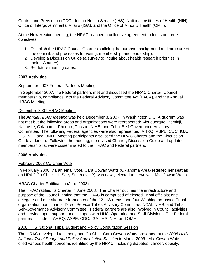<span id="page-4-0"></span>Control and Prevention (CDC), Indian Health Service (IHS), National Institutes of Health (NIH), Office of Intergovernmental Affairs (IGA), and the Office of Minority Health (OMH).

At the New Mexico meeting, the HRAC reached a collective agreement to focus on three objectives:

- 1. Establish the HRAC Council Charter (outlining the purpose, background and structure of the council; and processes for voting, membership, and leadership).
- 2. Develop a Discussion Guide (a survey to inquire about health research priorities in Indian Country).
- 3. Set future meeting dates.

## **2007 Activities**

### September 2007 Federal Partners Meeting

In September 2007, the Federal partners met and discussed the HRAC Charter, Council membership, compliance with the Federal Advisory Committee Act (FACA), and the Annual HRAC Meeting.

#### December 2007 HRAC Meeting

The *Annual HRAC Meeting* was held December 3, 2007, in Washington D.C. A quorum was not met but the following areas and organizations were represented: Albuquerque, Bemidji, Nashville, Oklahoma, Phoenix, Tucson, NIHB, and Tribal Self-Governance Advisory Committee. The following Federal agencies were also represented: AHRQ, ASPE, CDC, IGA, IHS, NIH, and OMH. Meeting participants discussed the HRAC Charter and the Discussion Guide at length. Following the meeting, the revised Charter, Discussion Guide and updated membership list were disseminated to the HRAC and Federal partners.

## **2008 Activities**

## February 2008 Co-Chair Vote

In February 2008, via an email vote, Cara Cowan Watts (Oklahoma Area) retained her seat as an HRAC Co-Chair. H. Sally Smith (NIHB) was newly elected to serve with Ms. Cowan Watts.

## HRAC Charter Ratification (June 2008)

The HRAC ratified its Charter in June 2008. The Charter outlines the infrastructure and purpose of the Council, noting that the HRAC is comprised of elected Tribal officials; one delegate and one alternate from each of the 12 IHS areas; and four Washington-based Tribal organization participants: Direct Service Tribes Advisory Committee, NCAI, NIHB, and Tribal Self-Governance Advisory Committee. Federal partners are also involved in Council activities and provide input, support, and linkages with HHS' Operating and Staff Divisions. The Federal partners included: AHRQ, ASPE, CDC, IGA, IHS, NIH, and OMH.

#### 2008 HHS National Tribal Budget and Policy Consultation Session

The HRAC developed testimony and Co-Chair Cara Cowan Watts presented at the *2008 HHS National Tribal Budget and Policy Consultation Session* in March 2008. Ms. Cowan Watts cited various health concerns identified by the HRAC, including diabetes, cancer, obesity,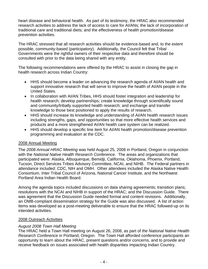<span id="page-5-0"></span>heart disease and behavioral health. As part of its testimony, the HRAC also recommended research activities to address the lack of access to care for AI/ANs; the lack of incorporation of traditional care and traditional diets; and the effectiveness of health promotion/disease prevention activities.

The HRAC stressed that all research activities should be evidence-based and, to the extent possible, community-based (participatory). Additionally, the Council felt that Tribal Governments were the rightful owners of their respective data and therefore should be consulted with prior to the data being shared with any entity.

The following recommendations were offered by the HRAC to assist in closing the gap in health research across Indian Country:

- HHS should become a leader on advancing the research agenda of AI/AN health and support innovative research that will serve to improve the health of AI/AN people in the United States.
- In collaboration with AI/AN Tribes, HHS should foster integration and leadership for health research; develop partnerships; create knowledge through scientifically sound and community/tribally supported health research; and exchange and transfer knowledge to those best positioned to apply the results of research.
- HHS should increase its knowledge and understanding of AI/AN health research issues including strengths, gaps, and opportunities so that more effective health services and products and a more strengthened AI/AN health care system can be realized.
- HHS should develop a specific line item for AI/AN health promotion/disease prevention programming and evaluation at the CDC.

#### 2008 Annual Meeting

The *2008 Annual HRAC Meeting* was held August 25, 2008 in Portland, Oregon in conjunction with the *National Native Health Research Conference*. The areas and organizations that participated were: Alaska, Albuquerque, Bemidji, California, Oklahoma, Phoenix, Portland, Tucson, Direct Services Tribes Advisory Committee, NCAI, and NIHB. The Federal partners in attendance included: CDC, NIH and OMH. Other attendees included the Alaska Native Health Consortium, Inter Tribal Council of Arizona, National Cancer Institute, and the Northwest Portland Area Indian Health Board.

Among the agenda topics included discussions on data sharing agreements; transition plans; resolutions with the NCAI and NIHB in support of the HRAC; and the Discussion Guide. There was agreement that the Discussion Guide needed format and content revisions. Additionally, an OMB-compliant dissemination strategy for the Guide was also discussed. A list of action items was developed as a post-meeting deliverable to ensure that the HRAC followed-up on its intended activities.

#### 2008 Outreach Activities

#### *August 2008 Town Hall Meeting*

The HRAC held a Town Hall meeting on August 26, 2008, as part of *the National Native Health Research Conference* in Portland, Oregon. The Town Hall afforded conference participants an opportunity to learn about the HRAC, present questions and/or concerns, and to provide and receive feedback on issues associated with health disparities impacting Indian Country.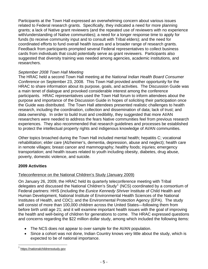<span id="page-6-0"></span>Participants at the Town Hall expressed an overwhelming concern about various issues related to Federal research grants. Specifically, they indicated a need for more planning grants; a lack of Native grant reviewers (and the repeated use of reviewers with no experience with/understanding of Native communities); a need for a longer response time to apply for funds (to receive community input and to consult with Tribal elders); and the need for coordinated efforts to fund overall health issues and a broader range of research grants. Feedback from participants prompted several Federal representatives to collect business cards from individuals that could potentially serve as grant reviewers. Participants also suggested that diversity training was needed among agencies, academic institutions, and researchers.

#### *September 2008 Town Hall Meeting*

The HRAC held a second Town Hall meeting at the *National Indian Health Board Consumer Conference* on September 23, 2008. This Town Hall provided another opportunity for the HRAC to share information about its purpose, goals, and activities. The Discussion Guide was a main tenet of dialogue and provoked considerable interest among the conference participants. HRAC representatives used the Town Hall forum to inform attendees about the purpose and importance of the Discussion Guide in hopes of soliciting their participation once the Guide was distributed. The Town Hall attendees presented realistic challenges to health research, including the coordination, collection and dissemination of data; lack of trust; and data ownership. In order to build trust and credibility, they suggested that more AI/AN researchers were needed to address the fears Native communities feel from previous research experiences. They also recommended that research guidelines and processes be established to protect the intellectual property rights and indigenous knowledge of AI/AN communities.

Other topics broached during the Town Hall included mental health; hepatitis C; vocational rehabilitation; elder care (Alzheimer's, dementia, depression, abuse and neglect); health care in remote villages; breast cancer and mammography; healthy foods; injuries; emergency transportation; and health issues related to youth including obesity, diabetes, drug abuse, poverty, domestic violence, and suicide.

#### **2009 Activities**

#### Teleconference on the National Children's Study (January 2009)

On January 26, 2009, the HRAC held its quarterly teleconference meeting with Tribal delegates and discussed the National Children's Study<sup>[1](#page-6-1)</sup> (NCS) coordinated by a consortium of Federal partners: HHS (including the *Eunice Kennedy Shriver* Institute of Child Health and Human Development, National Institute of Environmental Health Sciences of the National Institutes of Health, and CDC); and the Environmental Protection Agency (EPA). The study will consist of more than 100,000 children across the United States—following them from before birth until age 21; and it will examine important health issues with the goal of improving the health and well-being of children for generations to come. The HRAC expressed questions and concerns regarding the \$22 million dollar study, among which included the following items:

- The NCS does not appear to over sample for the AI/AN population.
- Since a cohort was not done, Indian Country knows very little about the study, which is expected to be of national importance.

<span id="page-6-1"></span><sup>1</sup> [https://nationalchildrensstudy.gov](https://nationalchildrensstudy.gov/)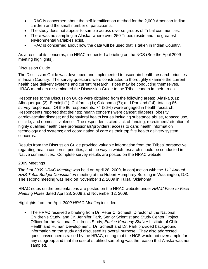- <span id="page-7-0"></span>• HRAC is concerned about the self-identification method for the 2,000 American Indian children and the small number of participants.
- The study does not appear to sample across diverse groups of Tribal communities.
- There was no sampling in Alaska, where over 250 Tribes reside and the greatest environmental variables exist.
- HRAC is concerned about how the data will be used that is taken in Indian Country.

As a result of its concerns, the HRAC requested a briefing on the NCS (See the April 2009 meeting highlights).

#### Discussion Guide

The Discussion Guide was developed and implemented to ascertain health research priorities in Indian Country. The survey questions were constructed to thoroughly examine the current health care delivery systems and current research Tribes may be conducting themselves. HRAC members disseminated the Discussion Guide to the Tribal leaders in their areas.

Responses to the Discussion Guide were obtained from the following areas: Alaska (61); Albuquerque (2); Bemidji (1); California (1); Oklahoma (7); and Portland (14), totaling 86 survey responses. Of the 86 respondents, 74 (86%) were engaged in health research. Respondents reported that their top health concerns were cancer; diabetes; obesity; cardiovascular disease; and behavioral health issues including substance abuse, tobacco use, suicide, and domestic violence. The respondents cited lack of funding; recruitment/retention of highly qualified health care professionals/providers; access to care; health information technology and systems; and coordination of care as their top five health delivery system concerns.

Results from the Discussion Guide provided valuable information from the Tribes' perspective regarding health concerns, priorities, and the way in which research should be conducted in Native communities. Complete survey results are posted on the HRAC website.

#### 2009 Meetings

The first *2009 HRAC Meeting* was held on April 28, 2009, in conjunction with the *11th Annual HHS Tribal Budget Consultation* meeting at the Hubert Humphrey Building in Washington, D.C. The second meeting was held on November 12, 2009 in Tulsa, Oklahoma.

HRAC notes on the presentations are posted on the HRAC website under *HRAC Face-to-Face Meeting Notes* dated April 28, 2009 and November 12, 2009.

Highlights from the April *2009 HRAC Meeting* included:

• The HRAC received a briefing from Dr. Peter C. Scheidt, Director of the National Children's Study, and Dr. Jennifer Park, Senior Scientist and Study Center Project Officer for the National Children's Study, *Eunice Kennedy Shriver* Institute of Child Health and Human Development. Dr. Scheidt and Dr. Park provided background information on the study and discussed its overall purpose. They also addressed questions/concerns raised by the HRAC, noting that the NCS would not oversample for any subgroup and that the use of stratified sampling was the reason that Alaska was not sampled.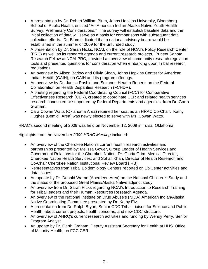- A presentation by Dr. Robert William Blum, Johns Hopkins University, Bloomberg School of Public Health, entitled "An American Indian-Alaska Native Youth Health Survey: Preliminary Considerations." The survey will establish baseline data and the initial collection of data will serve as a basis for comparisons with subsequent data collection efforts. Dr. Blum indicated that a national advisory board would be established in the summer of 2009 for the unfunded study.
- A presentation by Dr. Sarah Hicks, NCAI, on the role of NCAI's Policy Research Center (PRC) as well as its research agenda and current research projects. Puneet Sahota, Research Fellow at NCAI PRC, provided an overview of community research regulation tools and presented questions for consideration when embarking upon Tribal research regulations.
- An overview by Alison Barlow and Olivia Sloan, Johns Hopkins Center for American Indian Health (CAIH), on CAIH and its program offerings.
- An overview by Dr. Jamila Rashid and Suzanne Heurtin-Roberts on the Federal Collaboration on Health Disparities Research (FCHDR).
- A briefing regarding the Federal Coordinating Council (FCC) for Comparative Effectiveness Research (CER), created to coordinate CER and related health services research conducted or supported by Federal Departments and agencies, from Dr. Garth Graham.
- Cara Cowan Watts (Oklahoma Area) retained her seat as an HRAC Co-Chair. Kathy Hughes (Bemidji Area) was newly elected to serve with Ms. Cowan Watts.

HRAC's second meeting of 2009 was held on November 12, 2009 in Tulsa, Oklahoma.

Highlights from the November *2009 HRAC Meeting* included:

- An overview of the Cherokee Nation's current health research activities and partnerships presented by: Melissa Gower, Group Leader of Health Services and Government Relations for the Cherokee Nation; Dr. Gloria Grim, Medical Director, Cherokee Nation Health Services; and Sohail Khan, Director of Health Research and Co-Chair Cherokee Nation Institutional Review Board (IRB).
- Representatives from Tribal Epidemiology Centers reported on EpiCenter activities and data issues.
- An update by Dr. Donald Warne (Aberdeen Area) on the National Children's Study and the status of the proposed Great Plains/Alaska Native adjunct study.
- An overview from Dr. Sarah Hicks regarding NCAI's Introduction to Research Training for Tribal leaders and their Human Resources Research Agenda.
- An overview of the National Institute on Drug Abuse's (NIDA) American Indian/Alaska Native Coordinating Committee presented by Dr. Kathy Etz.
- A presentation from Dr. Ralph Bryan, Senior CDC Tribal Liaison for Science and Public Health, about current projects, health concerns, and new CDC structure.
- An overview of AHRQ's current research activities and funding by Wendy Perry, Senior Program Analyst.
- An update by Dr. Garth Graham, Deputy Assistant Secretary for Health at HHS' Office of Minority Health, on FCC CER.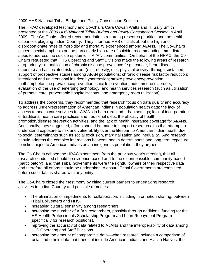## <span id="page-9-0"></span>2009 HHS National Tribal Budget and Policy Consultation Session

The HRAC developed testimony and Co-Chairs Cara Cowan Watts and H. Sally Smith presented at the *2009 HHS National Tribal Budget and Policy Consultation Session* in April 2009. The Co-Chairs offered recommendations regarding research priorities and the health disparities plaguing Indian Country. They informed HHS officials about the high and disproportionate rates of morbidity and mortality experienced among AI/ANs. The Co-Chairs placed special emphasis on the particularly high rate of suicide, recommending immediate steps to address the suicide epidemic in AI/AN communities. On behalf of the HRAC, the Co-Chairs requested that HHS Operating and Staff Divisions make the following areas of research a top priority: quantification of chronic disease prevalence (e.g., cancer, heart disease, diabetes) and associated risk factors (e.g., obesity, diet, physical activity) through sustained support of prospective studies among AI/AN populations; chronic disease risk factor reduction; intentional and unintentional injuries; hypertension; stroke prevalence/prevention; methamphetamine prevalence/prevention; suicide prevention; autoimmune disorders; evaluation of the use of emerging technology; and health services research (such as utilization of prenatal care, preventable hospitalizations, and emergency room utilization).

To address the concerns, they recommended that research focus on data quality and accuracy to address under-representation of American Indians in population health data; the lack of access to health care services for AI/ANs in both rural and urban settings; lack of incorporation of traditional health care practices and traditional diets; the efficacy of health promotion/disease prevention activities; and the lack of health insurance coverage for AI/ANs. Additionally, they suggested, efforts should be made to support research aims that attempt to understand exposure to risk and vulnerability over the lifespan to American Indian health due to social determinants such as social exclusion, marginalization and inequality. And research should address the complex interactions between health determinants and long term exposure to risks unique to American Indians as an indigenous population, they argued.

The Co-Chairs echoed the HRAC's sentiment from the previous year's meeting, that all research conducted should be evidence-based and to the extent possible, community-based (participatory); and that Tribal Governments were the rightful owners of their respective data and therefore all efforts should be undertaken to ensure Tribal Governments are consulted before such data is shared with any entity.

The Co-Chairs closed their testimony by citing current barriers to undertaking research activities in Indian Country and possible remedies:

- The elimination of impediments for collaboration, including information sharing, between Tribal EpiCenters and HHS.
- Increasing cultural sensitivity among researchers.
- Increasing the number of AI/AN researchers, possibly through additional funding for the IHS Health Professionals Scholarship Program and Loan Repayment Program (specifically for research positions).
- Improving the accuracy of data related to AI/ANs and the interoperability of data among HHS Operating and Staff Divisions.
- Increasing the amount of comparative data—when research includes a comparison of racial and ethnic data that does not include American Indians and Alaska Natives, the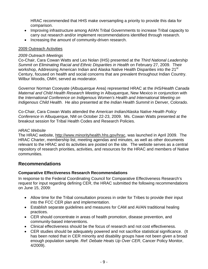<span id="page-10-0"></span>HRAC recommended that HHS make oversampling a priority to provide this data for comparison.

- Improving infrastructure among AI/AN Tribal Governments to increase Tribal capacity to carry out research and/or implement recommendations identified through research.
- Increasing the amount of community-driven research.

#### 2009 Outreach Activities

#### *2009 Outreach Meetings*

Co-Chair, Cara Cowan Watts and Leo Nolan (IHS) presented at the *Third National Leadership Summit on Eliminating Racial and Ethnic Disparities in Health* on February 27, 2009. Their workshop, Addressing American Indian and Alaska Native Health Disparities into the 21<sup>st</sup> Century, focused on health and social concerns that are prevalent throughout Indian Country. Wilbur Woodis, OMH, served as moderator.

Governor Norman Cooeyate (Albuquerque Area) represented HRAC at the *IHS/Health Canada Maternal and Child Health Research Meeting* in Albuquerque, New Mexico in conjunction with the *International Conference on Indigenous Women's Health and International Meeting on Indigenous Child Health*. He also presented at the *Indian Health Summit* in Denver, Colorado.

Co-Chair, Cara Cowan Watts attended the *American Indian/Alaska Native Health Policy Conference* in Albuquerque, NM on October 22-23, 2009. Ms. Cowan Watts presented at the breakout session for Tribal Health Codes and Research Policies.

#### *HRAC Website*

The HRAC website, [http://www.minorityhealth.hhs.gov/hrac,](http://www.minorityhealth.hhs.gov/hrac) was launched in April 2009. The HRAC Charter, membership list, meeting agendas and minutes, as well as other documents relevant to the HRAC and its activities are posted on the site. The website serves as a central repository of research priorities, activities, and resources for the HRAC and members of Native communities.

## **Recommendations**

#### **Comparative Effectiveness Research Recommendations**

In response to the Federal Coordinating Council for Comparative Effectiveness Research's request for input regarding defining CER, the HRAC submitted the following recommendations on June 15, 2009:

- Allow time for the Tribal consultation process in order for Tribes to provide their input into the FCC CER plan and implementation.
- Establish separate guidelines and measures for CAM and AI/AN traditional healing practices.
- CER should concentrate in areas of health promotion, disease prevention, and community-based interventions.
- Clinical effectiveness should be the focus of research and not cost effectiveness.
- CER studies should be adequately powered and not sacrifice statistical significance. (It has been noted that in CER minority and disability groups have not been given a broad enough population sample. *Ref: Debate Heats Up Over CER*, Cancer Policy Monitor, 4/2009).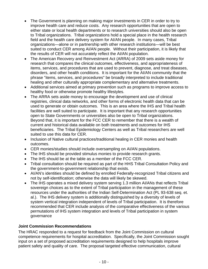- <span id="page-11-0"></span>• The Government is planning on making major investments in CER in order to try to improve health care and reduce costs. Any research opportunities that are open to either state or local health departments or to research universities should also be open to Tribal organizations. Tribal organizations hold a special place in the health research field and the health care delivery system for AI/AN people. In many cases, Tribal organizations—alone or in partnership with other research institutions—will be best suited to conduct CER among AI/AN people. Without their participation, it is likely that the results of CER will not accurately reflect the AI/AN population.
- The American Recovery and Reinvestment Act (ARRA) of 2009 sets aside money for research that compares the clinical outcomes, effectiveness, and appropriateness of items, services, and procedures that are used to prevent, diagnose, and treat diseases, disorders, and other health conditions. It is important for the AI/AN community that the phrase "items, services, and procedures" be broadly interpreted to include traditional healing and other culturally appropriate complementary and alternative treatments.
- Additional services aimed at primary prevention such as programs to improve access to healthy food or otherwise promote healthy lifestyles.
- The ARRA sets aside money to encourage the development and use of clinical registries, clinical data networks, and other forms of electronic health data that can be used to generate or obtain outcomes. This is an area where the IHS and Tribal health facilities are well suited to participate. It is important that any research opportunities open to State Governments or universities also be open to Tribal organizations. Beyond that, it is important for the FCC CER to remember that there is a wealth of current and historical data available on both treatments and outcomes for IHS beneficiaries. The Tribal Epidemiology Centers as well as Tribal researchers are well suited to use this data for CER.
- Inclusion of Native cultural practices/traditional healing in CER monies and health outcomes.
- CER monies/studies should include oversampling on AI/AN populations.
- The IHS should be provided stimulus monies to provide research grants.
- The IHS should be at the table as a member of the FCC CER.
- Tribal consultation should be required as part of the HHS Tribal Consultation Policy and the government-to-government relationship that exists.
- AI/AN's identities should be defined by enrolled Federally-recognized Tribal citizens and not by self-identification; otherwise the data will likely be skewed.
- The IHS operates a mixed delivery system serving 1.3 million AI/ANs that reflects Tribal sovereign choices as to the extent of Tribal participation in the management of these resources under the authorities of the Indian Self-Determination Act (PL 93-638 seq. et. al.). The IHS delivery system is additionally distinguished by a diversity of levels of system vertical integration independent of levels of Tribal participation. It is therefore recommended that CER include analysis of the comparative effectiveness of the various permutations of IHS system integration and levels of Tribal participation in system governance

#### **Joint Commission Recommendations**

The HRAC responded to a request for feedback from the Joint Commission on cultural competence requirements for hospital accreditation. Specifically, the Joint Commission sought input on a set of proposed accreditation requirements designed to help hospitals improve patient safety and quality of care. The proposal targeted effective communication, cultural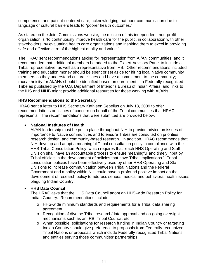<span id="page-12-0"></span>competence, and patient-centered care, acknowledging that poor communication due to language or cultural barriers leads to "poorer health outcomes."

As stated on the Joint Commissions website, the mission of this independent, non-profit organization is "to continuously improve health care for the public, in collaboration with other stakeholders, by evaluating health care organizations and inspiring them to excel in providing safe and effective care of the highest quality and value."

The HRAC sent recommendations asking for representation from AI/AN communities; and it recommended that additional members be added to the Expert Advisory Panel to include a Tribal representative, as well as a representative from IHS. Other recommendations included: training and education money should be spent or set aside for hiring local Native community members as they understand cultural issues and have a commitment to the community; race/ethnicity for AI/ANs should be identified based on enrollment in a Federally-recognized Tribe as published by the U.S. Department of Interior's Bureau of Indian Affairs; and links to the IHS and NIHB might provide additional resources for those working with AI/ANs.

#### **HHS Recommendations to the Secretary**

HRAC sent a letter to HHS Secretary Kathleen Sebelius on July 13, 2009 to offer recommendations on issues of concern on behalf of the Tribal communities that HRAC represents. The recommendations that were submitted are provided below:

#### • **National Institutes of Health**

AI/AN leadership must be put in place throughout NIH to provide advice on issues of importance to Native communities and to ensure Tribes are consulted on priorities, research design, and community-based research. In addition, HRAC recommends that NIH develop and adopt a meaningful Tribal consultation policy in compliance with the HHS Tribal Consultation Policy, which requires that "each HHS Operating and Staff Division shall have an accountable process to ensure meaningful and timely input by Tribal officials in the development of policies that have Tribal implications." Tribal consultation policies have been effectively used by other HHS Operating and Staff Divisions to increase communication between Tribal Nations and the Federal Government and a policy within NIH could have a profound positive impact on the development of research policy to address serious medical and behavioral health issues plaguing Indian Country.

#### • **HHS Data Council**

The HRAC asks that the HHS Data Council adopt an HHS-wide Research Policy for Indian Country. Recommendations include:

- $\circ$  HHS-wide minimum standards and requirements for a Tribal data sharing agreement.
- o Recognition of diverse Tribal research/data approval and on-going oversight mechanisms such as an IRB, Tribal Council, etc.
- o When possible, solicitations for research funding in Indian Country or targeting Indian Country should give preference to proposals from Federally-recognized Tribal Nations or proposals which include Federally-recognized Tribal Nations and entities serving those communities' partnerships.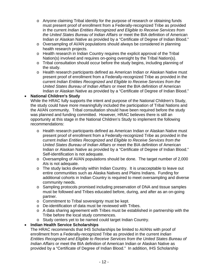- o Anyone claiming Tribal identity for the purpose of research or obtaining funds must present proof of enrollment from a Federally-recognized Tribe as provided in the current *Indian Entities Recognized and Eligible to Receive Services from the United States Bureau of Indian Affairs* or meet the BIA definition of American Indian or Alaskan Native as provided by a "Certificate of Degree of Indian Blood."
- o Oversampling of AI/AN populations should always be considered in planning health research projects.
- o Health research in Indian Country requires the explicit approval of the Tribal Nation(s) involved and requires on-going oversight by the Tribal Nation(s).
- o Tribal consultation should occur before the study begins, including planning of the study.
- o Health research participants defined as American Indian or Alaskan Native must present proof of enrollment from a Federally-recognized Tribe as provided in the current *Indian Entities Recognized and Eligible to Receive Services from the United States Bureau of Indian Affairs* or meet the BIA definition of American Indian or Alaskan Native as provided by a "Certificate of Degree of Indian Blood."

#### • **National Children's Study**

While the HRAC fully supports the intent and purpose of the National Children's Study, the study could have more meaningfully included the participation of Tribal Nations and the AI/AN community. Tribal consultation should have been required before the study was planned and funding committed. However, HRAC believes there is still an opportunity at this stage in the National Children's Study to implement the following recommendations:

- o Health research participants defined as American Indian or Alaskan Native must present proof of enrollment from a Federally-recognized Tribe as provided in the current *Indian Entities Recognized and Eligible to Receive Services from the United States Bureau of Indian Affairs* or meet the BIA definition of American Indian or Alaskan Native as provided by a "Certificate of Degree of Indian Blood." Self-identification is not adequate.
- o Oversampling of AI/AN populations should be done. The target number of 2,000 AIs is not adequate.
- o The study lacks diversity within Indian Country. It is unacceptable to leave out entire communities such as Alaska Natives and Plains Indians. Funding for additional cohorts in Indian Country is required to meet oversampling and diverse community needs.
- o Sampling protocols promised including preservation of DNA and tissue samples must be followed and Tribes educated before, during, and after as an on-going partner.
- o Commitment to Tribal sovereignty must be kept.
- o De-identification of data must be reviewed with Tribes.
- o A data sharing agreement with Tribes must be established in partnership with the Tribe before the local study commences.
- o Study centers yet to be named could target Indian Country.

#### • **Indian Health Service Scholarships**

The HRAC recommends that IHS Scholarships be limited to AI/ANs with proof of enrollment from a Federally-recognized Tribe as provided in the current *Indian Entities Recognized and Eligible to Receive Services from the United States Bureau of Indian Affairs* or meet the BIA definition of American Indian or Alaskan Native as provided by a "Certificate of Degree of Indian Blood." In addition, IHS Scholarship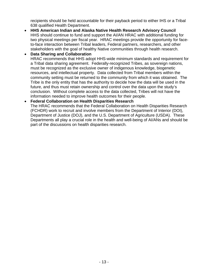recipients should be held accountable for their payback period to either IHS or a Tribal 638 qualified Health Department.

• **HHS American Indian and Alaska Native Health Research Advisory Council**  HHS should continue to fund and support the AI/AN HRAC with additional funding for two physical meetings per fiscal year. HRAC meetings provide the opportunity for faceto-face interaction between Tribal leaders, Federal partners, researchers, and other stakeholders with the goal of healthy Native communities through health research.

#### • **Data Sharing and Collaboration**  HRAC recommends that HHS adopt HHS-wide minimum standards and requirement for a Tribal data sharing agreement. Federally-recognized Tribes, as sovereign nations, must be recognized as the exclusive owner of indigenous knowledge, biogenetic resources, and intellectual property. Data collected from Tribal members within the community setting must be returned to the community from which it was obtained. The Tribe is the only entity that has the authority to decide how the data will be used in the future, and thus must retain ownership and control over the data upon the study's conclusion. Without complete access to the data collected, Tribes will not have the information needed to improve health outcomes for their people.

#### • **Federal Collaboration on Health Disparities Research**

The HRAC recommends that the Federal Collaboration on Health Disparities Research (FCHDR) work to recruit and involve members from the Department of Interior (DOI), Department of Justice (DOJ), and the U.S. Department of Agriculture (USDA). These Departments all play a crucial role in the health and well-being of AI/ANs and should be part of the discussions on health disparities research.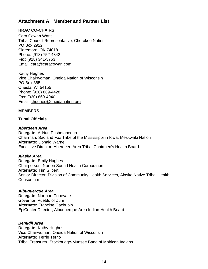## <span id="page-15-0"></span>**Attachment A: Member and Partner List**

## **HRAC CO-CHAIRS**

Cara Cowan Watts Tribal Council Representative, Cherokee Nation PO Box 2922 Claremore, OK 74018 Phone: (918) 752-4342 Fax: (918) 341-3753 Email: [cara@caracowan.com](mailto:cara@caracowan.com)

Kathy Hughes Vice Chairwoman, Oneida Nation of Wisconsin PO Box 365 Oneida, WI 54155 Phone: (920) 869-4428 Fax: (920) 869-4040 Email: [khughes@oneidanation.org](mailto:khughes@oneidanation.org)

#### **MEMBERS**

#### **Tribal Officials**

#### *Aberdeen Area*

**Delegate:** Adrian Pushetonequa Chairman, Sac and Fox Tribe of the Mississippi in Iowa, Meskwaki Nation **Alternate:** Donald Warne Executive Director, Aberdeen Area Tribal Chairmen's Health Board

#### *Alaska Area*

**Delegate:** Emily Hughes Chairperson, Norton Sound Health Corporation **Alternate:** Tim Gilbert Senior Director, Division of Community Health Services, Alaska Native Tribal Health **Consortium** 

*Albuquerque Area*  **Delegate:** Norman Cooeyate Governor, Pueblo of Zuni **Alternate:** Francine Gachupin EpiCenter Director, Albuquerque Area Indian Health Board

*Bemidji Area*  **Delegate:** Kathy Hughes Vice Chairwoman, Oneida Nation of Wisconsin **Alternate:** Terrie Terrio Tribal Treasurer, Stockbridge-Munsee Band of Mohican Indians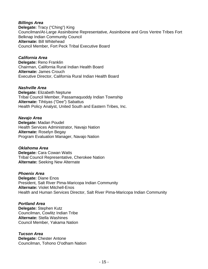#### *Billings Area*

**Delegate:** Tracy ("Ching") King Councilman/At-Large Assiniboine Representative, Assiniboine and Gros Ventre Tribes Fort Belknap Indian Community Council **Alternate:** Bill Whitehead Council Member, Fort Peck Tribal Executive Board

#### *California Area*  **Delegate:** Reno Franklin Chairman, California Rural Indian Health Board **Alternate:** James Crouch Executive Director, California Rural Indian Health Board

#### *Nashville Area*

**Delegate:** Elizabeth Neptune Tribal Council Member, Passamaquoddy Indian Township **Alternate:** Tihtiyas ("Dee") Sabattus Health Policy Analyst, United South and Eastern Tribes, Inc.

#### *Navajo Area*

**Delegate:** Madan Poudel Health Services Administrator, Navajo Nation **Alternate:** Roselyn Begay Program Evaluation Manager, Navajo Nation

#### *Oklahoma Area*

**Delegate:** Cara Cowan Watts Tribal Council Representative, Cherokee Nation **Alternate:** Seeking New Alternate

#### *Phoenix Area*

**Delegate:** Diane Enos President, Salt River Pima-Maricopa Indian Community **Alternate:** Violet Mitchell-Enos Health and Human Services Director, Salt River Pima-Maricopa Indian Community

#### *Portland Area*

**Delegate:** Stephen Kutz Councilman, Cowlitz Indian Tribe **Alternate:** Stella Washines Council Member, Yakama Nation

#### *Tucson Area*

**Delegate:** Chester Antone Councilman, Tohono O'odham Nation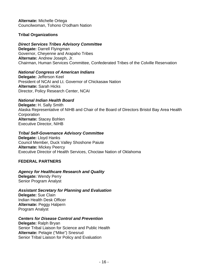<span id="page-17-0"></span>**Alternate:** Michelle Ortega Councilwoman, Tohono O'odham Nation

#### **Tribal Organizations**

#### *Direct Services Tribes Advisory Committee*

**Delegate:** Darrell Flyingman Governor, Cheyenne and Arapaho Tribes **Alternate:** Andrew Joseph, Jr. Chairman, Human Services Committee, Confederated Tribes of the Colville Reservation

#### *National Congress of American Indians*

**Delegate:** Jefferson Keel President of NCAI and Lt. Governor of Chickasaw Nation **Alternate:** Sarah Hicks Director, Policy Research Center, NCAI

#### *National Indian Health Board*

**Delegate:** H. Sally Smith Alaska Representative of NIHB and Chair of the Board of Directors Bristol Bay Area Health **Corporation Alternate:** Stacey Bohlen Executive Director, NIHB

#### *Tribal Self-Governance Advisory Committee*

**Delegate:** Lloyd Hanks Council Member, Duck Valley Shoshone Paiute **Alternate:** Mickey Peercy Executive Director of Health Services, Choctaw Nation of Oklahoma

#### **FEDERAL PARTNERS**

#### *Agency for Healthcare Research and Quality*

**Delegate:** Wendy Perry Senior Program Analyst

#### *Assistant Secretary for Planning and Evaluation*

**Delegate:** Sue Clain Indian Health Desk Officer **Alternate:** Peggy Halpern Program Analyst

#### *Centers for Disease Control and Prevention*

**Delegate:** Ralph Bryan Senior Tribal Liaison for Science and Public Health **Alternate:** Pelagie ("Mike") Snesrud Senior Tribal Liaison for Policy and Evaluation